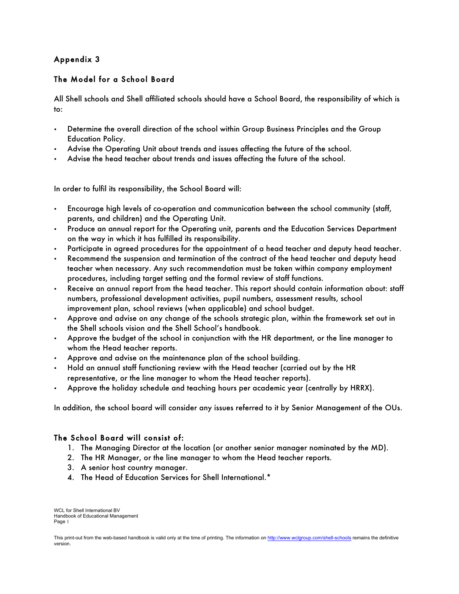# Appendix 3

# The Model for a School Board

All Shell schools and Shell affiliated schools should have a School Board, the responsibility of which is to:

- Determine the overall direction of the school within Group Business Principles and the Group Education Policy.
- Advise the Operating Unit about trends and issues affecting the future of the school.
- Advise the head teacher about trends and issues affecting the future of the school.

In order to fulfil its responsibility, the School Board will:

- Encourage high levels of co-operation and communication between the school community (staff, parents, and children) and the Operating Unit.
- Produce an annual report for the Operating unit, parents and the Education Services Department on the way in which it has fulfilled its responsibility.
- Participate in agreed procedures for the appointment of a head teacher and deputy head teacher.
- Recommend the suspension and termination of the contract of the head teacher and deputy head teacher when necessary. Any such recommendation must be taken within company employment procedures, including target setting and the formal review of staff functions.
- Receive an annual report from the head teacher. This report should contain information about: staff numbers, professional development activities, pupil numbers, assessment results, school improvement plan, school reviews (when applicable) and school budget.
- Approve and advise on any change of the schools strategic plan, within the framework set out in the Shell schools vision and the Shell School's handbook.
- Approve the budget of the school in conjunction with the HR department, or the line manager to whom the Head teacher reports.
- Approve and advise on the maintenance plan of the school building.
- Hold an annual staff functioning review with the Head teacher (carried out by the HR representative, or the line manager to whom the Head teacher reports).
- Approve the holiday schedule and teaching hours per academic year (centrally by HRRX).

In addition, the school board will consider any issues referred to it by Senior Management of the OUs.

### The School Board will consist of:

- 1. The Managing Director at the location (or another senior manager nominated by the MD).
- 2. The HR Manager, or the line manager to whom the Head teacher reports.
- 3. A senior host country manager.
- 4. The Head of Education Services for Shell International.\*

WCL for Shell International BV Handbook of Educational Management Page 1

This print-out from the web-based handbook is valid only at the time of printing. The information on http://www.wclgroup.com/shell-schools remains the definitive version.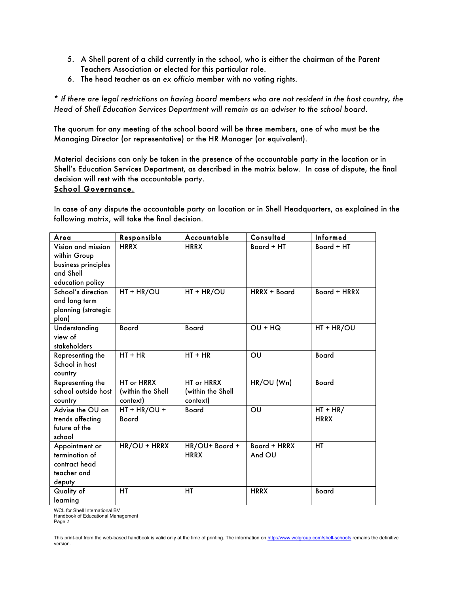- 5. A Shell parent of a child currently in the school, who is either the chairman of the Parent Teachers Association or elected for this particular role.
- 6. The head teacher as an *ex officio* member with no voting rights.

\* *If there are legal restrictions on having board members who are not resident in the host country, the Head of Shell Education Services Department will remain as an adviser to the school board*.

The quorum for any meeting of the school board will be three members, one of who must be the Managing Director (or representative) or the HR Manager (or equivalent).

Material decisions can only be taken in the presence of the accountable party in the location or in Shell's Education Services Department, as described in the matrix below. In case of dispute, the final decision will rest with the accountable party.

### School Governance.

In case of any dispute the accountable party on location or in Shell Headquarters, as explained in the following matrix, will take the final decision.

| Area                                                                                       | Responsible                                 | Accountable                                 | Consulted              | Informed                  |
|--------------------------------------------------------------------------------------------|---------------------------------------------|---------------------------------------------|------------------------|---------------------------|
| Vision and mission<br>within Group<br>business principles<br>and Shell<br>education policy | <b>HRRX</b>                                 | <b>HRRX</b>                                 | Board + HT             | Board + HT                |
| School's direction<br>and long term<br>planning (strategic<br>plan)                        | HT + HR/OU                                  | HT + HR/OU                                  | HRRX + Board           | Board + HRRX              |
| Understanding<br>view of<br>stakeholders                                                   | <b>Board</b>                                | <b>Board</b>                                | $OU + HO$              | $HT + HR/OU$              |
| Representing the<br>School in host<br>country                                              | $HT + HR$                                   | $HT + HR$                                   | OU                     | <b>Board</b>              |
| Representing the<br>school outside host<br>country                                         | HT or HRRX<br>(within the Shell<br>context) | HT or HRRX<br>(within the Shell<br>context) | HR/OU (Wn)             | <b>Board</b>              |
| Advise the OU on<br>trends affecting<br>future of the<br>school                            | $HT + HR/OU +$<br><b>Board</b>              | <b>Board</b>                                | OU                     | $HT + HR/$<br><b>HRRX</b> |
| Appointment or<br>termination of<br>contract head<br>teacher and<br>deputy                 | HR/OU + HRRX                                | HR/OU+ Board +<br><b>HRRX</b>               | Board + HRRX<br>And OU | <b>HT</b>                 |
| Quality of<br>learning                                                                     | НT                                          | НT                                          | <b>HRRX</b>            | <b>Board</b>              |

WCL for Shell International BV

Handbook of Educational Management Page 2

This print-out from the web-based handbook is valid only at the time of printing. The information on http://www.wclgroup.com/shell-schools remains the definitive version.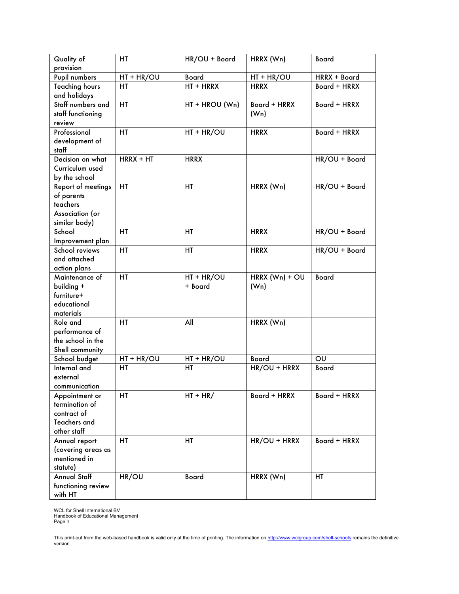| Quality of            | HT           | HR/OU + Board  | HRRX (Wn)         | <b>Board</b>  |
|-----------------------|--------------|----------------|-------------------|---------------|
| provision             |              |                |                   |               |
| Pupil numbers         | $HT + HR/OU$ | <b>Board</b>   | HT + HR/OU        | HRRX + Board  |
| <b>Teaching hours</b> | HТ           | HT + HRRX      | <b>HRRX</b>       | Board + HRRX  |
| and holidays          |              |                |                   |               |
| Staff numbers and     | HT           | HT + HROU (Wn) | Board + HRRX      | Board + HRRX  |
| staff functioning     |              |                | (W <sub>n</sub> ) |               |
| review                |              |                |                   |               |
| Professional          | HT           | $HT + HR/OU$   | <b>HRRX</b>       | Board + HRRX  |
| development of        |              |                |                   |               |
| staff                 |              |                |                   |               |
| Decision on what      | $HRRX + HT$  | <b>HRRX</b>    |                   | HR/OU + Board |
| Curriculum used       |              |                |                   |               |
| by the school         |              |                |                   |               |
| Report of meetings    | HT           | HT             | HRRX (Wn)         | HR/OU + Board |
| of parents            |              |                |                   |               |
| teachers              |              |                |                   |               |
| Association (or       |              |                |                   |               |
| similar body)         |              |                |                   |               |
| School                | <b>HT</b>    | HT             | <b>HRRX</b>       | HR/OU + Board |
| Improvement plan      |              |                |                   |               |
| School reviews        | HT           | HT             | <b>HRRX</b>       | HR/OU + Board |
| and attached          |              |                |                   |               |
| action plans          |              |                |                   |               |
| Maintenance of        | <b>HT</b>    | HT + HR/OU     | HRRX $(Wn) + OU$  | <b>Board</b>  |
| building +            |              | + Board        | (W <sub>n</sub> ) |               |
| furniture+            |              |                |                   |               |
| educational           |              |                |                   |               |
| materials             |              |                |                   |               |
| Role and              | <b>HT</b>    | All            | HRRX (Wn)         |               |
| performance of        |              |                |                   |               |
| the school in the     |              |                |                   |               |
| Shell community       |              |                |                   |               |
| School budget         | $HT + HR/OU$ | $HT + HR/OU$   | <b>Board</b>      | OU            |
| Internal and          | <b>HT</b>    | HT             | HR/OU + HRRX      | Board         |
| external              |              |                |                   |               |
| communication         |              |                |                   |               |
| Appointment or        | HT           | $HT + HR/$     | Board + HRRX      | Board + HRRX  |
| termination of        |              |                |                   |               |
| contract of           |              |                |                   |               |
| Teachers and          |              |                |                   |               |
| other staff           |              |                |                   |               |
| Annual report         | HT           | HT             | HR/OU + HRRX      | Board + HRRX  |
| (covering areas as    |              |                |                   |               |
| mentioned in          |              |                |                   |               |
| statute)              |              |                |                   |               |
| <b>Annual Staff</b>   | HR/OU        | <b>Board</b>   | HRRX (Wn)         | HT            |
| functioning review    |              |                |                   |               |
| with HT               |              |                |                   |               |

WCL for Shell International BV Handbook of Educational Management Page 3

This print-out from the web-based handbook is valid only at the time of printing. The information on <u>http://www.wclgroup.com/shell-schools</u> remains the definitive<br>version.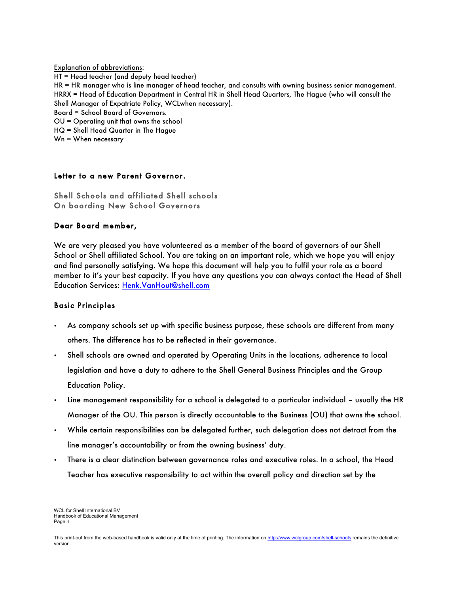Explanation of abbreviations: HT = Head teacher (and deputy head teacher) HR = HR manager who is line manager of head teacher, and consults with owning business senior management. HRRX = Head of Education Department in Central HR in Shell Head Quarters, The Hague (who will consult the Shell Manager of Expatriate Policy, WCLwhen necessary). Board = School Board of Governors. OU = Operating unit that owns the school HQ = Shell Head Quarter in The Hague Wn = When necessary

#### Letter to a new Parent Governor.

Shell Schools and affiliated Shell schools On boarding New School Governors

#### Dear Board member,

We are very pleased you have volunteered as a member of the board of governors of our Shell School or Shell affiliated School. You are taking on an important role, which we hope you will enjoy and find personally satisfying. We hope this document will help you to fulfil your role as a board member to it's your best capacity. If you have any questions you can always contact the Head of Shell Education Services: Henk.VanHout@shell.com

### Basic Principles

- As company schools set up with specific business purpose, these schools are different from many others. The difference has to be reflected in their governance.
- Shell schools are owned and operated by Operating Units in the locations, adherence to local legislation and have a duty to adhere to the Shell General Business Principles and the Group Education Policy.
- Line management responsibility for a school is delegated to a particular individual usually the HR Manager of the OU. This person is directly accountable to the Business (OU) that owns the school.
- While certain responsibilities can be delegated further, such delegation does not detract from the line manager's accountability or from the owning business' duty.
- There is a clear distinction between governance roles and executive roles. In a school, the Head Teacher has executive responsibility to act within the overall policy and direction set by the

WCL for Shell International BV Handbook of Educational Management Page 4

This print-out from the web-based handbook is valid only at the time of printing. The information on http://www.wclgroup.com/shell-schools remains the definitive version.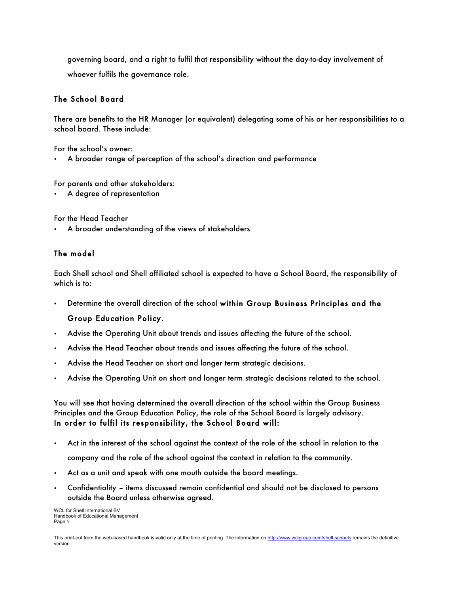governing board, and a right to fulfil that responsibility without the day-to-day involvement of whoever fulfils the governance role.

## The School Board

There are benefits to the HR Manager (or equivalent) delegating some of his or her responsibilities to a school board. These include:

For the school's owner:

• A broader range of perception of the school's direction and performance

For parents and other stakeholders:

• A degree of representation

For the Head Teacher

• A broader understanding of the views of stakeholders

## The model

Each Shell school and Shell affiliated school is expected to have a School Board, the responsibility of which is to:

• Determine the overall direction of the school within Group Business Principles and the

### Group Education Policy.

- Advise the Operating Unit about trends and issues affecting the future of the school.
- Advise the Head Teacher about trends and issues affecting the future of the school.
- Advise the Head Teacher on short and longer term strategic decisions.
- Advise the Operating Unit on short and longer term strategic decisions related to the school.

You will see that having determined the overall direction of the school within the Group Business Principles and the Group Education Policy, the role of the School Board is largely advisory. In order to fulfil its responsibility, the School Board will:

• Act in the interest of the school against the context of the role of the school in relation to the

company and the role of the school against the context in relation to the community.

- Act as a unit and speak with one mouth outside the board meetings.
- Confidentiality items discussed remain confidential and should not be disclosed to persons outside the Board unless otherwise agreed.

WCL for Shell International BV Handbook of Educational Management Page 5

This print-out from the web-based handbook is valid only at the time of printing. The information on http://www.wclgroup.com/shell-schools remains the definitive version.